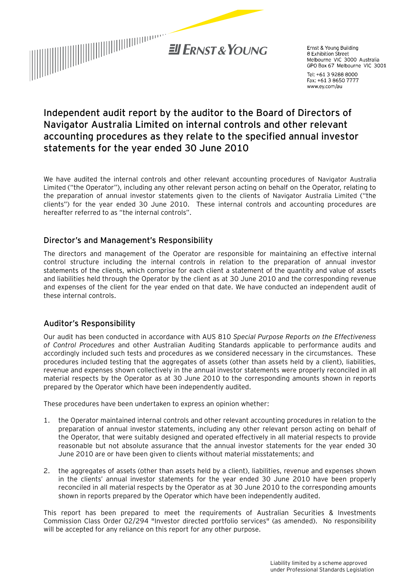

Ernst & Young Building 8 Exhibition Street Melbourne VIC 3000 Australia GPO Box 67 Melbourne VIC 3001

Tel: +61 3 9288 8000 Fax: +61 3 8650 7777 www.ey.com/au

# **Independent audit report by the auditor to the Board of Directors of Navigator Australia Limited on internal controls and other relevant accounting procedures as they relate to the specified annual investor statements for the year ended 30 June 2010**

We have audited the internal controls and other relevant accounting procedures of Navigator Australia Limited ("the Operator"), including any other relevant person acting on behalf on the Operator, relating to the preparation of annual investor statements given to the clients of Navigator Australia Limited ("the clients") for the year ended 30 June 2010. These internal controls and accounting procedures are hereafter referred to as "the internal controls".

### Director's and Management's Responsibility

The directors and management of the Operator are responsible for maintaining an effective internal control structure including the internal controls in relation to the preparation of annual investor statements of the clients, which comprise for each client a statement of the quantity and value of assets and liabilities held through the Operator by the client as at 30 June 2010 and the corresponding revenue and expenses of the client for the year ended on that date. We have conducted an independent audit of these internal controls.

## Auditor's Responsibility

Our audit has been conducted in accordance with AUS 810 *Special Purpose Reports on the Effectiveness of Control Procedures* and other Australian Auditing Standards applicable to performance audits and accordingly included such tests and procedures as we considered necessary in the circumstances. These procedures included testing that the aggregates of assets (other than assets held by a client), liabilities, revenue and expenses shown collectively in the annual investor statements were properly reconciled in all material respects by the Operator as at 30 June 2010 to the corresponding amounts shown in reports prepared by the Operator which have been independently audited.

These procedures have been undertaken to express an opinion whether:

- 1. the Operator maintained internal controls and other relevant accounting procedures in relation to the preparation of annual investor statements, including any other relevant person acting on behalf of the Operator, that were suitably designed and operated effectively in all material respects to provide reasonable but not absolute assurance that the annual investor statements for the year ended 30 June 2010 are or have been given to clients without material misstatements; and
- 2. the aggregates of assets (other than assets held by a client), liabilities, revenue and expenses shown in the clients' annual investor statements for the year ended 30 June 2010 have been properly reconciled in all material respects by the Operator as at 30 June 2010 to the corresponding amounts shown in reports prepared by the Operator which have been independently audited.

This report has been prepared to meet the requirements of Australian Securities & Investments Commission Class Order 02/294 "Investor directed portfolio services" (as amended). No responsibility will be accepted for any reliance on this report for any other purpose.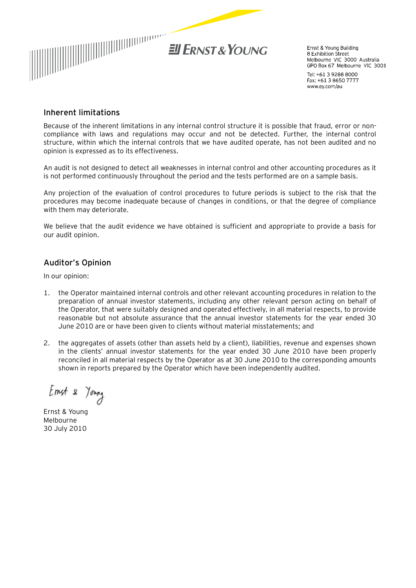

Ernst & Young Building 8 Exhibition Street Melbourne VIC 3000 Australia<br>GPO Box 67 Melbourne VIC 3001

Tel: +61 3 9288 8000 Fax: +61 3 8650 7777 www.ey.com/au

#### Inherent limitations

Because of the inherent limitations in any internal control structure it is possible that fraud, error or noncompliance with laws and regulations may occur and not be detected. Further, the internal control structure, within which the internal controls that we have audited operate, has not been audited and no opinion is expressed as to its effectiveness.

An audit is not designed to detect all weaknesses in internal control and other accounting procedures as it is not performed continuously throughout the period and the tests performed are on a sample basis.

Any projection of the evaluation of control procedures to future periods is subject to the risk that the procedures may become inadequate because of changes in conditions, or that the degree of compliance with them may deteriorate.

We believe that the audit evidence we have obtained is sufficient and appropriate to provide a basis for our audit opinion.

## Auditor's Opinion

In our opinion:

- 1. the Operator maintained internal controls and other relevant accounting procedures in relation to the preparation of annual investor statements, including any other relevant person acting on behalf of the Operator, that were suitably designed and operated effectively, in all material respects, to provide reasonable but not absolute assurance that the annual investor statements for the year ended 30 June 2010 are or have been given to clients without material misstatements; and
- 2. the aggregates of assets (other than assets held by a client), liabilities, revenue and expenses shown in the clients' annual investor statements for the year ended 30 June 2010 have been properly reconciled in all material respects by the Operator as at 30 June 2010 to the corresponding amounts shown in reports prepared by the Operator which have been independently audited.

Emst & Young

Ernst & Young Melbourne 30 July 2010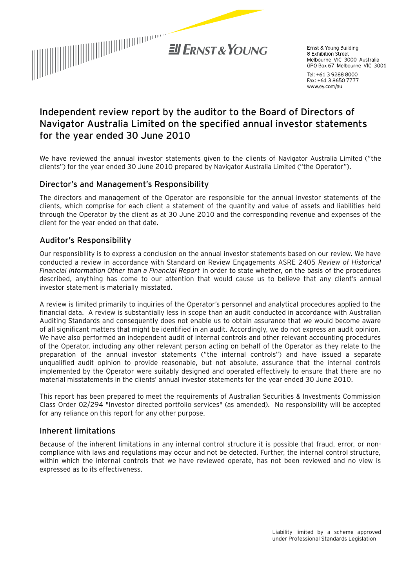

Frnst & Young Building 8 Exhibition Street Melbourne VIC 3000 Australia GPO Box 67 Melbourne VIC 3001

Tel: +61 3 9288 8000 Fax: +61 3 8650 7777 www.ey.com/au

# **Independent review report by the auditor to the Board of Directors of Navigator Australia Limited on the specified annual investor statements for the year ended 30 June 2010**

We have reviewed the annual investor statements given to the clients of Navigator Australia Limited ("the clients") for the year ended 30 June 2010 prepared by Navigator Australia Limited ("the Operator").

### Director's and Management's Responsibility

The directors and management of the Operator are responsible for the annual investor statements of the clients, which comprise for each client a statement of the quantity and value of assets and liabilities held through the Operator by the client as at 30 June 2010 and the corresponding revenue and expenses of the client for the year ended on that date.

## Auditor's Responsibility

Our responsibility is to express a conclusion on the annual investor statements based on our review. We have conducted a review in accordance with Standard on Review Engagements ASRE 2405 *Review of Historical Financial Information Other than a Financial Report* in order to state whether, on the basis of the procedures described, anything has come to our attention that would cause us to believe that any client's annual investor statement is materially misstated.

A review is limited primarily to inquiries of the Operator's personnel and analytical procedures applied to the financial data. A review is substantially less in scope than an audit conducted in accordance with Australian Auditing Standards and consequently does not enable us to obtain assurance that we would become aware of all significant matters that might be identified in an audit. Accordingly, we do not express an audit opinion. We have also performed an independent audit of internal controls and other relevant accounting procedures of the Operator, including any other relevant person acting on behalf of the Operator as they relate to the preparation of the annual investor statements ("the internal controls") and have issued a separate unqualified audit opinion to provide reasonable, but not absolute, assurance that the internal controls implemented by the Operator were suitably designed and operated effectively to ensure that there are no material misstatements in the clients' annual investor statements for the year ended 30 June 2010.

This report has been prepared to meet the requirements of Australian Securities & Investments Commission Class Order 02/294 "Investor directed portfolio services" (as amended). No responsibility will be accepted for any reliance on this report for any other purpose.

#### Inherent limitations

Because of the inherent limitations in any internal control structure it is possible that fraud, error, or noncompliance with laws and regulations may occur and not be detected. Further, the internal control structure, within which the internal controls that we have reviewed operate, has not been reviewed and no view is expressed as to its effectiveness.